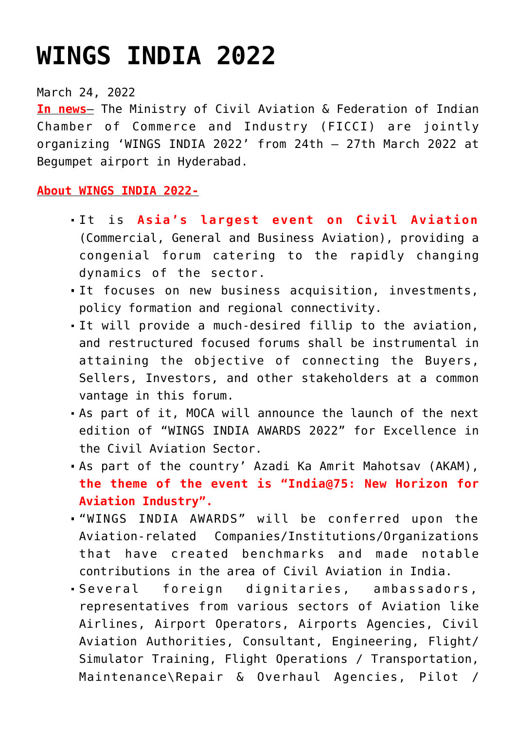## **[WINGS INDIA 2022](https://journalsofindia.com/wings-india-2022/)**

## March 24, 2022

**In news**– The Ministry of Civil Aviation & Federation of Indian Chamber of Commerce and Industry (FICCI) are jointly organizing 'WINGS INDIA 2022' from 24th – 27th March 2022 at Begumpet airport in Hyderabad.

## **About WINGS INDIA 2022-**

- It is **Asia's largest event on Civil Aviation** (Commercial, General and Business Aviation), providing a congenial forum catering to the rapidly changing dynamics of the sector.
- It focuses on new business acquisition, investments, policy formation and regional connectivity.
- It will provide a much-desired fillip to the aviation, and restructured focused forums shall be instrumental in attaining the objective of connecting the Buyers, Sellers, Investors, and other stakeholders at a common vantage in this forum.
- As part of it, MOCA will announce the launch of the next edition of "WINGS INDIA AWARDS 2022" for Excellence in the Civil Aviation Sector.
- As part of the country' Azadi Ka Amrit Mahotsav (AKAM), **the theme of the event is "India@75: New Horizon for Aviation Industry".**
- "WINGS INDIA AWARDS" will be conferred upon the Aviation-related Companies/Institutions/Organizations that have created benchmarks and made notable contributions in the area of Civil Aviation in India.
- Several foreign dignitaries, ambassadors, representatives from various sectors of Aviation like Airlines, Airport Operators, Airports Agencies, Civil Aviation Authorities, Consultant, Engineering, Flight/ Simulator Training, Flight Operations / Transportation, Maintenance\Repair & Overhaul Agencies, Pilot /